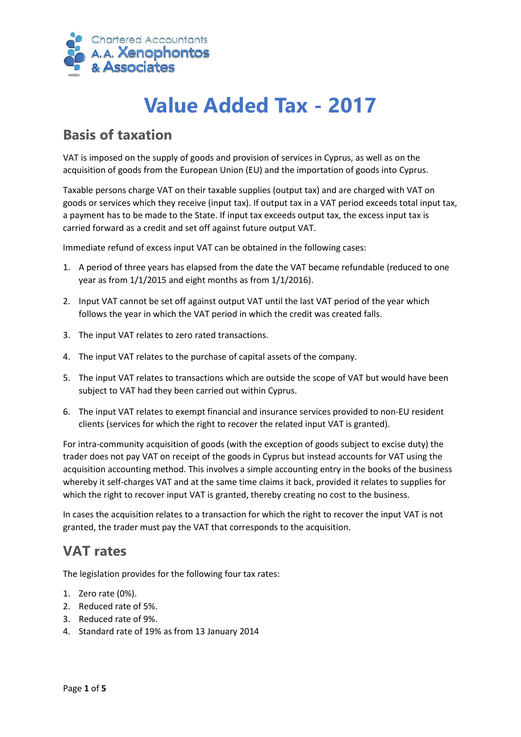

# **Value Added Tax - 2017**

### **Basis of taxation**

VAT is imposed on the supply of goods and provision of services in Cyprus, as well as on the acquisition of goods from the European Union (EU) and the importation of goods into Cyprus.

Taxable persons charge VAT on their taxable supplies (output tax) and are charged with VAT on goods or services which they receive (input tax). If output tax in a VAT period exceeds total input tax, a payment has to be made to the State. If input tax exceeds output tax, the excess input tax is carried forward as a credit and set off against future output VAT.

Immediate refund of excess input VAT can be obtained in the following cases:

- 1. A period of three years has elapsed from the date the VAT became refundable (reduced to one year as from 1/1/2015 and eight months as from 1/1/2016).
- 2. Input VAT cannot be set off against output VAT until the last VAT period of the year which follows the year in which the VAT period in which the credit was created falls.
- 3. The input VAT relates to zero rated transactions.
- 4. The input VAT relates to the purchase of capital assets of the company.
- 5. The input VAT relates to transactions which are outside the scope of VAT but would have been subject to VAT had they been carried out within Cyprus.
- 6. The input VAT relates to exempt financial and insurance services provided to non-EU resident clients (services for which the right to recover the related input VAT is granted).

For intra-community acquisition of goods (with the exception of goods subject to excise duty) the trader does not pay VAT on receipt of the goods in Cyprus but instead accounts for VAT using the acquisition accounting method. This involves a simple accounting entry in the books of the business whereby it self-charges VAT and at the same time claims it back, provided it relates to supplies for which the right to recover input VAT is granted, thereby creating no cost to the business.

In cases the acquisition relates to a transaction for which the right to recover the input VAT is not granted, the trader must pay the VAT that corresponds to the acquisition.

#### **VAT rates**

The legislation provides for the following four tax rates:

- 1. Zero rate (0%).
- 2. Reduced rate of 5%.
- 3. Reduced rate of 9%.
- 4. Standard rate of 19% as from 13 January 2014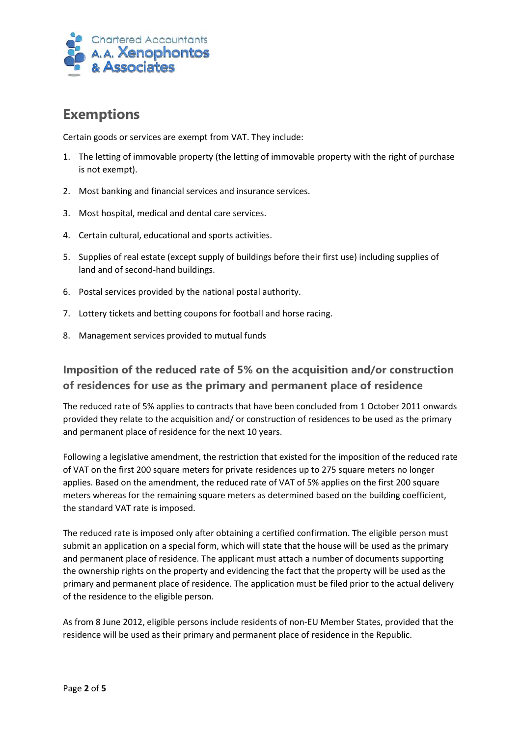

# **Exemptions**

Certain goods or services are exempt from VAT. They include:

- 1. The letting of immovable property (the letting of immovable property with the right of purchase is not exempt).
- 2. Most banking and financial services and insurance services.
- 3. Most hospital, medical and dental care services.
- 4. Certain cultural, educational and sports activities.
- 5. Supplies of real estate (except supply of buildings before their first use) including supplies of land and of second-hand buildings.
- 6. Postal services provided by the national postal authority.
- 7. Lottery tickets and betting coupons for football and horse racing.
- 8. Management services provided to mutual funds

#### **Imposition of the reduced rate of 5% on the acquisition and/or construction of residences for use as the primary and permanent place of residence**

The reduced rate of 5% applies to contracts that have been concluded from 1 October 2011 onwards provided they relate to the acquisition and/ or construction of residences to be used as the primary and permanent place of residence for the next 10 years.

Following a legislative amendment, the restriction that existed for the imposition of the reduced rate of VAT on the first 200 square meters for private residences up to 275 square meters no longer applies. Based on the amendment, the reduced rate of VAT of 5% applies on the first 200 square meters whereas for the remaining square meters as determined based on the building coefficient, the standard VAT rate is imposed.

The reduced rate is imposed only after obtaining a certified confirmation. The eligible person must submit an application on a special form, which will state that the house will be used as the primary and permanent place of residence. The applicant must attach a number of documents supporting the ownership rights on the property and evidencing the fact that the property will be used as the primary and permanent place of residence. The application must be filed prior to the actual delivery of the residence to the eligible person.

As from 8 June 2012, eligible persons include residents of non-EU Member States, provided that the residence will be used as their primary and permanent place of residence in the Republic.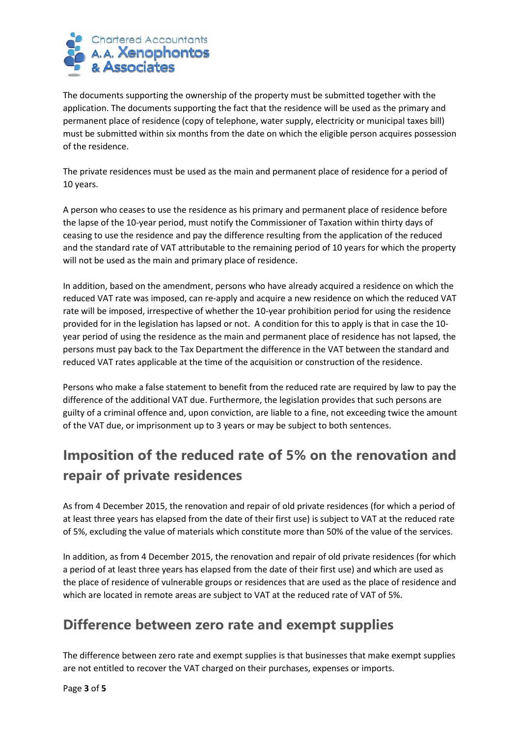

The documents supporting the ownership of the property must be submitted together with the application. The documents supporting the fact that the residence will be used as the primary and permanent place of residence (copy of telephone, water supply, electricity or municipal taxes bill) must be submitted within six months from the date on which the eligible person acquires possession of the residence.

The private residences must be used as the main and permanent place of residence for a period of 10 years.

A person who ceases to use the residence as his primary and permanent place of residence before the lapse of the 10-year period, must notify the Commissioner of Taxation within thirty days of ceasing to use the residence and pay the difference resulting from the application of the reduced and the standard rate of VAT attributable to the remaining period of 10 years for which the property will not be used as the main and primary place of residence.

In addition, based on the amendment, persons who have already acquired a residence on which the reduced VAT rate was imposed, can re-apply and acquire a new residence on which the reduced VAT rate will be imposed, irrespective of whether the 10-year prohibition period for using the residence provided for in the legislation has lapsed or not. A condition for this to apply is that in case the 10 year period of using the residence as the main and permanent place of residence has not lapsed, the persons must pay back to the Tax Department the difference in the VAT between the standard and reduced VAT rates applicable at the time of the acquisition or construction of the residence.

Persons who make a false statement to benefit from the reduced rate are required by law to pay the difference of the additional VAT due. Furthermore, the legislation provides that such persons are guilty of a criminal offence and, upon conviction, are liable to a fine, not exceeding twice the amount of the VAT due, or imprisonment up to 3 years or may be subject to both sentences.

# **Imposition of the reduced rate of 5% on the renovation and repair of private residences**

As from 4 December 2015, the renovation and repair of old private residences (for which a period of at least three years has elapsed from the date of their first use) is subject to VAT at the reduced rate of 5%, excluding the value of materials which constitute more than 50% of the value of the services.

In addition, as from 4 December 2015, the renovation and repair of old private residences (for which a period of at least three years has elapsed from the date of their first use) and which are used as the place of residence of vulnerable groups or residences that are used as the place of residence and which are located in remote areas are subject to VAT at the reduced rate of VAT of 5%.

# **Difference between zero rate and exempt supplies**

The difference between zero rate and exempt supplies is that businesses that make exempt supplies are not entitled to recover the VAT charged on their purchases, expenses or imports.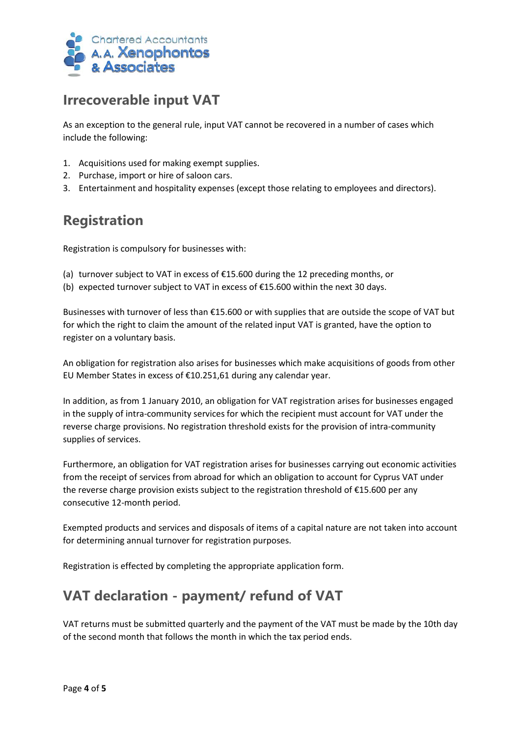

## **Irrecoverable input VAT**

As an exception to the general rule, input VAT cannot be recovered in a number of cases which include the following:

- 1. Acquisitions used for making exempt supplies.
- 2. Purchase, import or hire of saloon cars.
- 3. Entertainment and hospitality expenses (except those relating to employees and directors).

# **Registration**

Registration is compulsory for businesses with:

- (a) turnover subject to VAT in excess of  $E$ 15.600 during the 12 preceding months, or
- (b) expected turnover subject to VAT in excess of €15.600 within the next 30 days.

Businesses with turnover of less than €15.600 or with supplies that are outside the scope of VAT but for which the right to claim the amount of the related input VAT is granted, have the option to register on a voluntary basis.

An obligation for registration also arises for businesses which make acquisitions of goods from other EU Member States in excess of €10.251,61 during any calendar year.

In addition, as from 1 January 2010, an obligation for VAT registration arises for businesses engaged in the supply of intra-community services for which the recipient must account for VAT under the reverse charge provisions. No registration threshold exists for the provision of intra-community supplies of services.

Furthermore, an obligation for VAT registration arises for businesses carrying out economic activities from the receipt of services from abroad for which an obligation to account for Cyprus VAT under the reverse charge provision exists subject to the registration threshold of €15.600 per any consecutive 12-month period.

Exempted products and services and disposals of items of a capital nature are not taken into account for determining annual turnover for registration purposes.

Registration is effected by completing the appropriate application form.

# **VAT declaration - payment/ refund of VAT**

VAT returns must be submitted quarterly and the payment of the VAT must be made by the 10th day of the second month that follows the month in which the tax period ends.